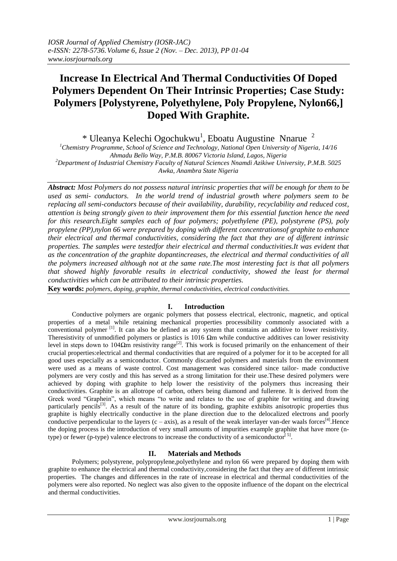# **Increase In Electrical And Thermal Conductivities Of Doped Polymers Dependent On Their Intrinsic Properties; Case Study: Polymers [Polystyrene, Polyethylene, Poly Propylene, Nylon66,] Doped With Graphite.**

\* Uleanya Kelechi Ogochukwu<sup>1</sup>, Eboatu Augustine Nnarue<sup>2</sup>

*<sup>1</sup>Chemistry Programme, School of Science and Technology, National Open University of Nigeria, 14/16 Ahmadu Bello Way, P.M.B. 80067 Victoria Island, Lagos, Nigeria <sup>2</sup>Department of Industrial Chemistry Faculty of Natural Sciences Nnamdi Azikiwe University, P.M.B. 5025 Awka, Anambra State Nigeria*

*Abstract: Most Polymers do not possess natural intrinsic properties that will be enough for them to be used as semi- conductors. In the world trend of industrial growth where polymers seem to be replacing all semi-conductors because of their availability, durability, recyclability and reduced cost, attention is being strongly given to their improvement them for this essential function hence the need for this research.Eight samples each of four polymers; polyethylene (PE), polystyrene (PS), poly propylene (PP),nylon 66 were prepared by doping with different concentrationsof graphite to enhance their electrical and thermal conductivities, considering the fact that they are of different intrinsic properties. The samples were testedfor their electrical and thermal conductivities.It was evident that as the concentration of the graphite dopantincreases, the electrical and thermal conductivities of all the polymers increased although not at the same rate.The most interesting fact is that all polymers that showed highly favorable results in electrical conductivity, showed the least for thermal conductivities which can be attributed to their intrinsic properties.*

**Key words:** *polymers, doping, graphite, thermal conductivities, electrical conductivities.*

# **I. Introduction**

Conductive polymers are organic polymers that possess electrical, electronic, magnetic, and optical properties of a metal while retaining mechanical properties processibility commonly associated with a conventional polymer [1]. It can also be defined as any system that contains an additive to lower resistivity. Theresistivity of unmodified polymers or plastics is  $1016 \Omega m$  while conductive additives can lower resistivity level in steps down to 104Ωm resistivity range<sup>[2]</sup>. This work is focused primarily on the enhancement of their crucial properties:electrical and thermal conductivities that are required of a polymer for it to be accepted for all good uses especially as a semiconductor. Commonly discarded polymers and materials from the environment were used as a means of waste control. Cost management was considered since tailor- made conductive polymers are very costly and this has served as a strong limitation for their use.These desired polymers were achieved by doping with graphite to help lower the resistivity of the polymers thus increasing their conductivities. Graphite is an allotrope of carbon, others being diamond and fullerene. It is derived from the Greek word "Graphein", which means "to write and relates to the use of graphite for writing and drawing particularly pencils<sup>[3]</sup>. As a result of the nature of its bonding, graphite exhibits anisotropic properties thus graphite is highly electrically conductive in the plane direction due to the delocalized electrons and poorly conductive perpendicular to the layers  $(c - axis)$ , as a result of the weak interlayer van-der waals forces<sup>[4]</sup>. Hence the doping process is the introduction of very small amounts of impurities example graphite that have more (ntype) or fewer (p-type) valence electrons to increase the conductivity of a semiconductor<sup>[5]</sup>.

# **II. Materials and Methods**

Polymers; polystyrene, polypropylene,polyethylene and nylon 66 were prepared by doping them with graphite to enhance the electrical and thermal conductivity,considering the fact that they are of different intrinsic properties. The changes and differences in the rate of increase in electrical and thermal conductivities of the polymers were also reported. No neglect was also given to the opposite influence of the dopant on the electrical and thermal conductivities.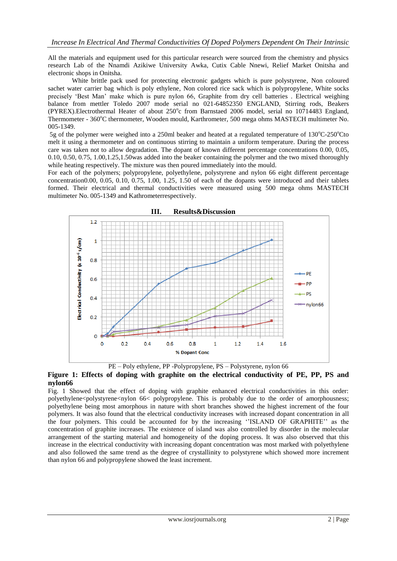All the materials and equipment used for this particular research were sourced from the chemistry and physics research Lab of the Nnamdi Azikiwe University Awka, Cutix Cable Nnewi, Relief Market Onitsha and electronic shops in Onitsha*.* 

White brittle pack used for protecting electronic gadgets which is pure polystyrene, Non coloured sachet water carrier bag which is poly ethylene, Non colored rice sack which is polypropylene, White socks precisely "Best Man" make which is pure nylon 66, Graphite from dry cell batteries . Electrical weighing balance from mettler Toledo 2007 mode serial no 021-64852350 ENGLAND, Stirring rods, Beakers (PYREX).Electrothermal Heater of about 250°c from Barnstaed 2006 model, serial no 10714483 England, Thermometer - 360°C thermometer, Wooden mould, Karthrometer, 500 mega ohms MASTECH multimeter No. 005-1349.

5g of the polymer were weighed into a 250ml beaker and heated at a regulated temperature of  $130^{\circ}$ C-250<sup>o</sup>Cto melt it using a thermometer and on continuous stirring to maintain a uniform temperature. During the process care was taken not to allow degradation. The dopant of known different percentage concentrations 0.00, 0.05, 0.10, 0.50, 0.75, 1.00,1.25,1.50was added into the beaker containing the polymer and the two mixed thoroughly while heating respectively. The mixture was then poured immediately into the mould.

For each of the polymers; polypropylene, polyethylene, polystyrene and nylon 66 eight different percentage concentration0.00, 0.05, 0.10, 0.75, 1.00, 1.25, 1.50 of each of the dopants were introduced and their tablets formed. Their electrical and thermal conductivities were measured using 500 mega ohms MASTECH multimeter No. 005-1349 and Kathrometerrespectively.



PE – Poly ethylene, PP -Polypropylene, PS – Polystyrene, nylon 66

## **Figure 1: Effects of doping with graphite on the electrical conductivity of PE, PP, PS and nylon66**

Fig. 1 Showed that the effect of doping with graphite enhanced electrical conductivities in this order: polyethylene<polystyrene<nylon 66< polypropylene. This is probably due to the order of amorphousness; polyethylene being most amorphous in nature with short branches showed the highest increment of the four polymers. It was also found that the electrical conductivity increases with increased dopant concentration in all the four polymers. This could be accounted for by the increasing ""ISLAND OF GRAPHITE"" as the concentration of graphite increases. The existence of island was also controlled by disorder in the molecular arrangement of the starting material and homogeneity of the doping process. It was also observed that this increase in the electrical conductivity with increasing dopant concentration was most marked with polyethylene and also followed the same trend as the degree of crystallinity to polystyrene which showed more increment than nylon 66 and polypropylene showed the least increment.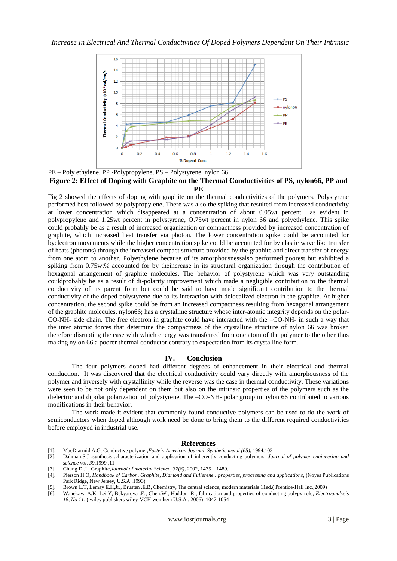

PE – Poly ethylene, PP -Polypropylene, PS – Polystyrene, nylon 66 **Figure 2: Effect of Doping with Graphite on the Thermal Conductivities of PS, nylon66, PP and PE**

Fig 2 showed the effects of doping with graphite on the thermal conductivities of the polymers. Polystyrene performed best followed by polypropylene. There was also the spiking that resulted from increased conductivity at lower concentration which disappeared at a concentration of about 0.05wt percent as evident in polypropylene and 1.25wt percent in polystyrene, O.75wt percent in nylon 66 and polyethylene. This spike could probably be as a result of increased organization or compactness provided by increased concentration of graphite, which increased heat transfer via photon. The lower concentration spike could be accounted for byelectron movements while the higher concentration spike could be accounted for by elastic wave like transfer of heats (photons) through the increased compact structure provided by the graphite and direct transfer of energy from one atom to another. Polyethylene because of its amorphousnessalso performed poorest but exhibited a spiking from 0.75wt% accounted for by theincrease in its structural organization through the contribution of hexagonal arrangement of graphite molecules. The behavior of polystyrene which was very outstanding couldprobably be as a result of di-polarity improvement which made a negligible contribution to the thermal conductivity of its parent form but could be said to have made significant contribution to the thermal conductivity of the doped polystyrene due to its interaction with delocalized electron in the graphite. At higher concentration, the second spike could be from an increased compactness resulting from hexagonal arrangement of the graphite molecules. nylon66; has a crystalline structure whose inter-atomic integrity depends on the polar-CO-NH- side chain. The free electron in graphite could have interacted with the –CO-NH- in such a way that the inter atomic forces that determine the compactness of the crystalline structure of nylon 66 was broken therefore disrupting the ease with which energy was transferred from one atom of the polymer to the other thus making nylon 66 a poorer thermal conductor contrary to expectation from its crystalline form.

### **IV. Conclusion**

The four polymers doped had different degrees of enhancement in their electrical and thermal conduction. It was discovered that the electrical conductivity could vary directly with amorphousness of the polymer and inversely with crystallinity while the reverse was the case in thermal conductivity. These variations were seen to be not only dependent on them but also on the intrinsic properties of the polymers such as the dielectric and dipolar polarization of polystyrene. The –CO-NH- polar group in nylon 66 contributed to various modifications in their behavior.

The work made it evident that commonly found conductive polymers can be used to do the work of semiconductors when doped although work need be done to bring them to the different required conductivities before employed in industrial use.

#### **References**

- [1]. MacDiarmid A.G, Conductive polymer,*Epstein American Journal Synthetic metal (65)*, 1994,103
- [2]. Dahman.S.J ,synthesis ,characterization and application of inherently conducting polymers, *Journal of polymer engineering and science vol. 39*,1999 ,11
- [3]. Chung D .L, Graphite,*Journal of material Science, 37(8)*, 2002, 1475 1489.
- [4]. Pierson H.O, *Handbook of Carbon, Graphite, Diamond and Fullerene : properties, processing and applications*, (Noyes Publications Park Ridge, New Jersey, U.S.A ,1993)
- [5]. Brown L.T, Lemay E.H,Jr., Brusten .E.B, Chemistry, The central science, modern materials 11ed.( Prentice-Hall Inc.,2009)
- [6]. Wanekaya A.K, Lei.Y, Bekyarova .E., Chen.W., Haddon .R., fabrication and properties of conducting polypyrrole, *Electroanalysis 18, No 11*. ( wiley publishers wiley-VCH weinhem U.S.A., 2006) 1047-1054